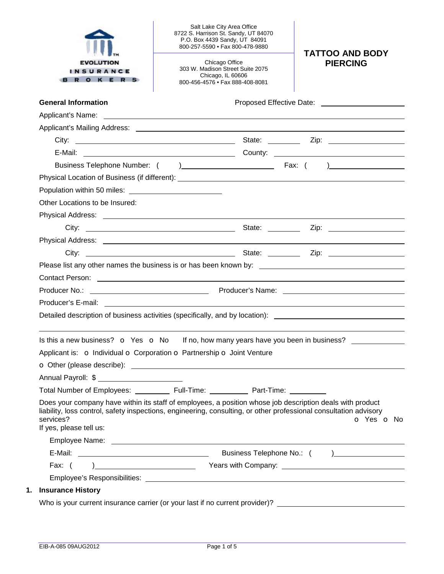| <b>EVOLUTION</b><br><b>INSURANCE</b><br><b>ROKERS</b> | Salt Lake City Area Office<br>8722 S. Harrison St. Sandy, UT 84070<br>P.O. Box 4439 Sandy, UT 84091<br>800-257-5590 • Fax 800-478-9880<br>Chicago Office<br>303 W. Madison Street Suite 2075<br>Chicago, IL 60606<br>800-456-4576 • Fax 888-408-8081 | <b>TATTOO AND BODY</b><br><b>PIERCING</b> |
|-------------------------------------------------------|------------------------------------------------------------------------------------------------------------------------------------------------------------------------------------------------------------------------------------------------------|-------------------------------------------|
| <b>General Information</b>                            |                                                                                                                                                                                                                                                      |                                           |
|                                                       |                                                                                                                                                                                                                                                      |                                           |
|                                                       |                                                                                                                                                                                                                                                      |                                           |
|                                                       |                                                                                                                                                                                                                                                      |                                           |
|                                                       |                                                                                                                                                                                                                                                      |                                           |
|                                                       |                                                                                                                                                                                                                                                      |                                           |
|                                                       |                                                                                                                                                                                                                                                      |                                           |
|                                                       |                                                                                                                                                                                                                                                      |                                           |
| Other Locations to be Insured:                        |                                                                                                                                                                                                                                                      |                                           |
|                                                       |                                                                                                                                                                                                                                                      |                                           |
|                                                       | State: ________                                                                                                                                                                                                                                      |                                           |
|                                                       |                                                                                                                                                                                                                                                      |                                           |
|                                                       |                                                                                                                                                                                                                                                      |                                           |
|                                                       |                                                                                                                                                                                                                                                      |                                           |
|                                                       |                                                                                                                                                                                                                                                      |                                           |
|                                                       |                                                                                                                                                                                                                                                      |                                           |
|                                                       |                                                                                                                                                                                                                                                      |                                           |
|                                                       |                                                                                                                                                                                                                                                      |                                           |
|                                                       | Detailed description of business activities (specifically, and by location): ________________________________                                                                                                                                        |                                           |
| Is this a new business? $\Omega$ Yes $\Omega$ No      | If no, how many years have you been in business?                                                                                                                                                                                                     |                                           |
|                                                       | Applicant is: o Individual o Corporation o Partnership o Joint Venture                                                                                                                                                                               |                                           |
|                                                       |                                                                                                                                                                                                                                                      |                                           |
| Annual Payroll: \$                                    |                                                                                                                                                                                                                                                      |                                           |
|                                                       | Total Number of Employees: ____________ Full-Time: ____________ Part-Time: _________                                                                                                                                                                 |                                           |
| services?<br>If yes, please tell us:                  | Does your company have within its staff of employees, a position whose job description deals with product<br>liability, loss control, safety inspections, engineering, consulting, or other professional consultation advisory                       | O Yes O No                                |
|                                                       |                                                                                                                                                                                                                                                      |                                           |
|                                                       |                                                                                                                                                                                                                                                      |                                           |
|                                                       |                                                                                                                                                                                                                                                      |                                           |
|                                                       |                                                                                                                                                                                                                                                      |                                           |
| <b>Insurance History</b>                              |                                                                                                                                                                                                                                                      |                                           |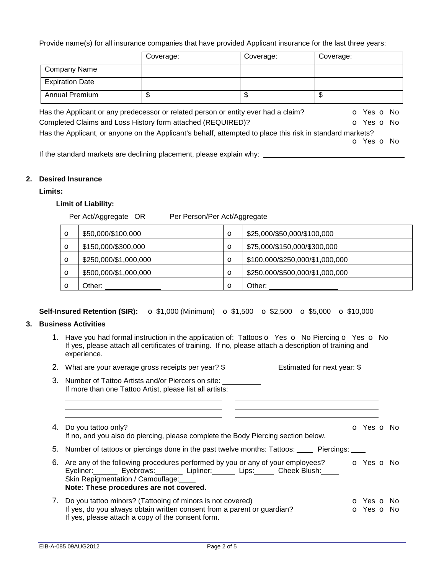Provide name(s) for all insurance companies that have provided Applicant insurance for the last three years:

|                        | Coverage:                                                                                                 | Coverage: | Coverage:  |
|------------------------|-----------------------------------------------------------------------------------------------------------|-----------|------------|
| <b>Company Name</b>    |                                                                                                           |           |            |
| <b>Expiration Date</b> |                                                                                                           |           |            |
| <b>Annual Premium</b>  | \$                                                                                                        | \$        | \$         |
|                        | Has the Applicant or any predecessor or related person or entity ever had a claim?                        |           | O Yes O No |
|                        | Completed Claims and Loss History form attached (REQUIRED)?                                               |           | O Yes O No |
|                        | Has the Applicant, or anyone on the Applicant's behalf, attempted to place this risk in standard markets? |           |            |
|                        |                                                                                                           |           | O Yes O No |
|                        | If the standard markets are declining placement, places evolpin why                                       |           |            |

If the standard markets are declining placement, please explain why:  $\overline{\phantom{a}}$ 

### **2. Desired Insurance**

# **Limits:**

## **Limit of Liability:**

Per Act/Aggregate OR Per Person/Per Act/Aggregate

| $\circ$ | \$50,000/\$100,000    | $\circ$ | \$25,000/\$50,000/\$100,000     |
|---------|-----------------------|---------|---------------------------------|
| $\circ$ | \$150,000/\$300,000   | $\circ$ | \$75,000/\$150,000/\$300,000    |
| $\circ$ | \$250,000/\$1,000,000 | $\circ$ | \$100,000/\$250,000/\$1,000,000 |
| $\circ$ | \$500,000/\$1,000,000 | $\circ$ | \$250,000/\$500,000/\$1,000,000 |
|         | Other:                | $\circ$ | Other:                          |

## **Self-Insured Retention (SIR):** o \$1,000 (Minimum) o \$1,500 o \$2,500 o \$5,000 o \$10,000

## **3. Business Activities**

- 1. Have you had formal instruction in the application of: Tattoos o Yes o No Piercing o Yes o No If yes, please attach all certificates of training. If no, please attach a description of training and experience.
- 2. What are your average gross receipts per year? \$ Estimated for next year: \$
- 3. Number of Tattoo Artists and/or Piercers on site: If more than one Tattoo Artist, please list all artists:
- 4. Do you tattoo only? Contract the Contract of Contract of Yes of No. 2012. The Contract of Yes of No. 2012. If no, and you also do piercing, please complete the Body Piercing section below.
- 5. Number of tattoos or piercings done in the past twelve months: Tattoos: \_\_\_\_\_ Piercings:
- 6. Are any of the following procedures performed by you or any of your employees? **o** Yes **o** No Eyeliner: Eyebrows: Lipliner: Lips: Cheek Blush: Skin Repigmentation / Camouflage: **Note: These procedures are not covered.**
- 7. Do you tattoo minors? (Tattooing of minors is not covered) **o Yes o No** If yes, do you always obtain written consent from a parent or guardian? **o** Yes **o** No If yes, please attach a copy of the consent form.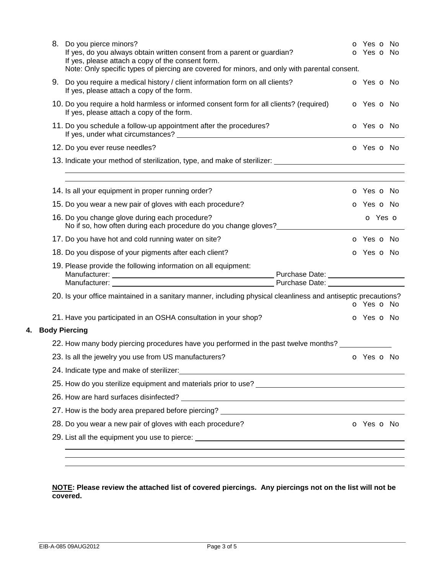|    | 8. Do you pierce minors?<br>If yes, do you always obtain written consent from a parent or guardian?<br>If yes, please attach a copy of the consent form.<br>Note: Only specific types of piercing are covered for minors, and only with parental consent. |                                                                                                                                                                                                                                |                          |
|----|-----------------------------------------------------------------------------------------------------------------------------------------------------------------------------------------------------------------------------------------------------------|--------------------------------------------------------------------------------------------------------------------------------------------------------------------------------------------------------------------------------|--------------------------|
|    | 9. Do you require a medical history / client information form on all clients?<br>If yes, please attach a copy of the form.                                                                                                                                |                                                                                                                                                                                                                                | o Yes o No               |
|    | 10. Do you require a hold harmless or informed consent form for all clients? (required)<br>If yes, please attach a copy of the form.                                                                                                                      |                                                                                                                                                                                                                                | o Yes o No               |
|    |                                                                                                                                                                                                                                                           | 11. Do you schedule a follow-up appointment after the procedures?                                                                                                                                                              | <b>o</b> Yes <b>o</b> No |
|    |                                                                                                                                                                                                                                                           | 12. Do you ever reuse needles?                                                                                                                                                                                                 | O Yes O No               |
|    |                                                                                                                                                                                                                                                           | 13. Indicate your method of sterilization, type, and make of sterilizer: __________________________                                                                                                                            |                          |
|    |                                                                                                                                                                                                                                                           | 14. Is all your equipment in proper running order?                                                                                                                                                                             | o Yes o No               |
|    |                                                                                                                                                                                                                                                           | 15. Do you wear a new pair of gloves with each procedure?                                                                                                                                                                      | o Yes o No               |
|    |                                                                                                                                                                                                                                                           | 16. Do you change glove during each procedure?<br>No if so, how often during each procedure do you change gloves?                                                                                                              | o Yes o                  |
|    |                                                                                                                                                                                                                                                           | 17. Do you have hot and cold running water on site?                                                                                                                                                                            | <b>o</b> Yes <b>o</b> No |
|    |                                                                                                                                                                                                                                                           | 18. Do you dispose of your pigments after each client?                                                                                                                                                                         | o Yes o No               |
|    |                                                                                                                                                                                                                                                           | 19. Please provide the following information on all equipment:                                                                                                                                                                 |                          |
|    |                                                                                                                                                                                                                                                           | 20. Is your office maintained in a sanitary manner, including physical cleanliness and antiseptic precautions?                                                                                                                 | o Yes o No               |
|    |                                                                                                                                                                                                                                                           | 21. Have you participated in an OSHA consultation in your shop?                                                                                                                                                                | o Yes o No               |
| 4. |                                                                                                                                                                                                                                                           | <b>Body Piercing</b>                                                                                                                                                                                                           |                          |
|    |                                                                                                                                                                                                                                                           | 22. How many body piercing procedures have you performed in the past twelve months?                                                                                                                                            |                          |
|    |                                                                                                                                                                                                                                                           | 23. Is all the jewelry you use from US manufacturers?                                                                                                                                                                          | o Yes o No               |
|    |                                                                                                                                                                                                                                                           | 24. Indicate type and make of sterilizer: example and the state of the state of the state of the state of the state of the state of the state of the state of the state of the state of the state of the state of the state of |                          |
|    |                                                                                                                                                                                                                                                           |                                                                                                                                                                                                                                |                          |
|    |                                                                                                                                                                                                                                                           |                                                                                                                                                                                                                                |                          |
|    |                                                                                                                                                                                                                                                           | 27. How is the body area prepared before piercing?                                                                                                                                                                             |                          |
|    |                                                                                                                                                                                                                                                           | 28. Do you wear a new pair of gloves with each procedure?                                                                                                                                                                      | O Yes O No               |
|    |                                                                                                                                                                                                                                                           |                                                                                                                                                                                                                                |                          |
|    |                                                                                                                                                                                                                                                           |                                                                                                                                                                                                                                |                          |
|    |                                                                                                                                                                                                                                                           |                                                                                                                                                                                                                                |                          |

### **NOTE: Please review the attached list of covered piercings. Any piercings not on the list will not be covered.**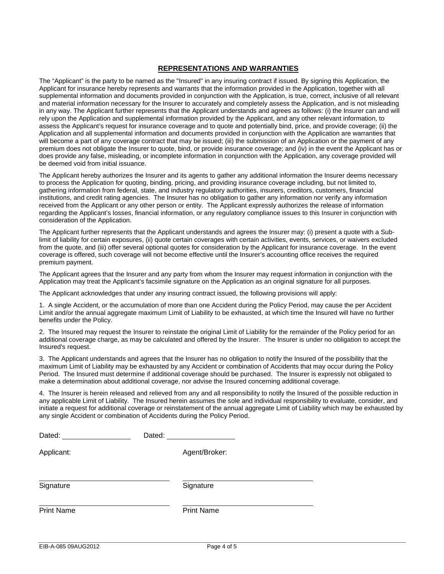#### **REPRESENTATIONS AND WARRANTIES**

The "Applicant" is the party to be named as the "Insured" in any insuring contract if issued. By signing this Application, the Applicant for insurance hereby represents and warrants that the information provided in the Application, together with all supplemental information and documents provided in conjunction with the Application, is true, correct, inclusive of all relevant and material information necessary for the Insurer to accurately and completely assess the Application, and is not misleading in any way. The Applicant further represents that the Applicant understands and agrees as follows: (i) the Insurer can and will rely upon the Application and supplemental information provided by the Applicant, and any other relevant information, to assess the Applicant's request for insurance coverage and to quote and potentially bind, price, and provide coverage; (ii) the Application and all supplemental information and documents provided in conjunction with the Application are warranties that will become a part of any coverage contract that may be issued; (iii) the submission of an Application or the payment of any premium does not obligate the Insurer to quote, bind, or provide insurance coverage; and (iv) in the event the Applicant has or does provide any false, misleading, or incomplete information in conjunction with the Application, any coverage provided will be deemed void from initial issuance.

The Applicant hereby authorizes the Insurer and its agents to gather any additional information the Insurer deems necessary to process the Application for quoting, binding, pricing, and providing insurance coverage including, but not limited to, gathering information from federal, state, and industry regulatory authorities, insurers, creditors, customers, financial institutions, and credit rating agencies. The Insurer has no obligation to gather any information nor verify any information received from the Applicant or any other person or entity. The Applicant expressly authorizes the release of information regarding the Applicant's losses, financial information, or any regulatory compliance issues to this Insurer in conjunction with consideration of the Application.

The Applicant further represents that the Applicant understands and agrees the Insurer may: (i) present a quote with a Sublimit of liability for certain exposures, (ii) quote certain coverages with certain activities, events, services, or waivers excluded from the quote, and (iii) offer several optional quotes for consideration by the Applicant for insurance coverage. In the event coverage is offered, such coverage will not become effective until the Insurer's accounting office receives the required premium payment.

The Applicant agrees that the Insurer and any party from whom the Insurer may request information in conjunction with the Application may treat the Applicant's facsimile signature on the Application as an original signature for all purposes.

The Applicant acknowledges that under any insuring contract issued, the following provisions will apply:

1. A single Accident, or the accumulation of more than one Accident during the Policy Period, may cause the per Accident Limit and/or the annual aggregate maximum Limit of Liability to be exhausted, at which time the Insured will have no further benefits under the Policy.

2. The Insured may request the Insurer to reinstate the original Limit of Liability for the remainder of the Policy period for an additional coverage charge, as may be calculated and offered by the Insurer. The Insurer is under no obligation to accept the Insured's request.

3. The Applicant understands and agrees that the Insurer has no obligation to notify the Insured of the possibility that the maximum Limit of Liability may be exhausted by any Accident or combination of Accidents that may occur during the Policy Period. The Insured must determine if additional coverage should be purchased. The Insurer is expressly not obligated to make a determination about additional coverage, nor advise the Insured concerning additional coverage.

4. The Insurer is herein released and relieved from any and all responsibility to notify the Insured of the possible reduction in any applicable Limit of Liability. The Insured herein assumes the sole and individual responsibility to evaluate, consider, and initiate a request for additional coverage or reinstatement of the annual aggregate Limit of Liability which may be exhausted by any single Accident or combination of Accidents during the Policy Period.

| Dated:            | Dated:            |
|-------------------|-------------------|
| Applicant:        | Agent/Broker:     |
| Signature         | Signature         |
| <b>Print Name</b> | <b>Print Name</b> |